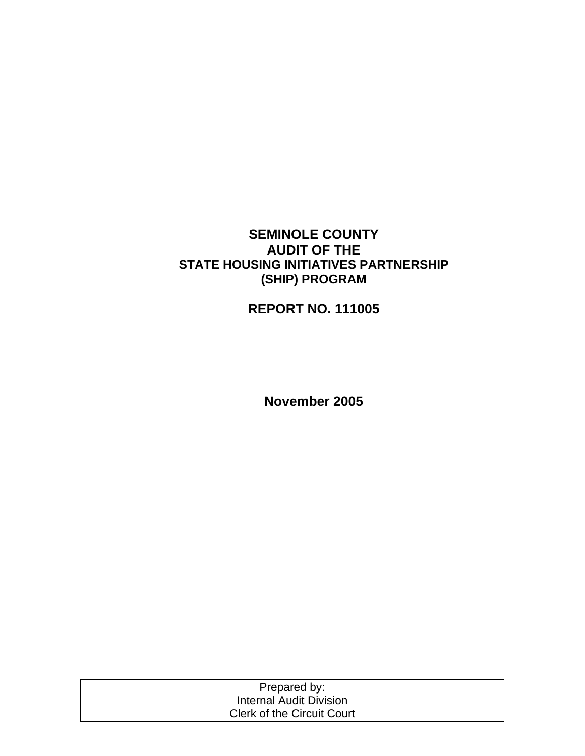## **SEMINOLE COUNTY AUDIT OF THE STATE HOUSING INITIATIVES PARTNERSHIP (SHIP) PROGRAM**

# **REPORT NO. 111005**

**November 2005** 

| Prepared by:                      |  |
|-----------------------------------|--|
| Internal Audit Division           |  |
| <b>Clerk of the Circuit Court</b> |  |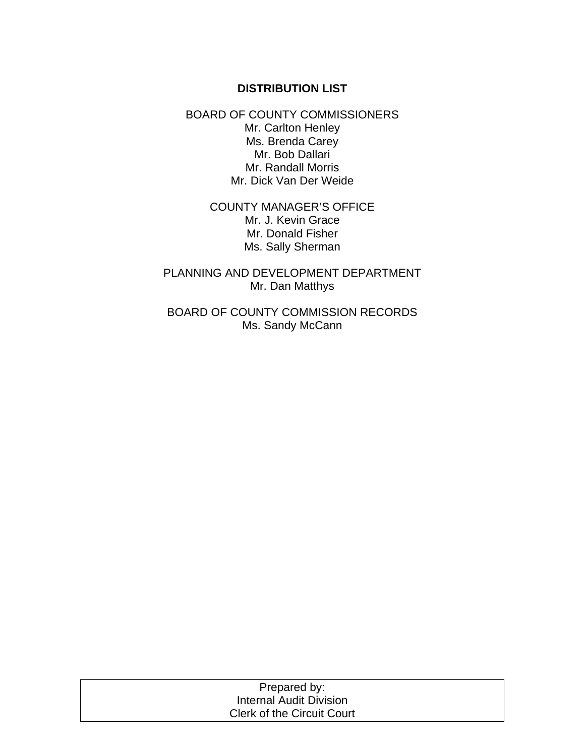## **DISTRIBUTION LIST**

BOARD OF COUNTY COMMISSIONERS Mr. Carlton Henley Ms. Brenda Carey Mr. Bob Dallari Mr. Randall Morris Mr. Dick Van Der Weide

> COUNTY MANAGER'S OFFICE Mr. J. Kevin Grace Mr. Donald Fisher Ms. Sally Sherman

PLANNING AND DEVELOPMENT DEPARTMENT Mr. Dan Matthys

BOARD OF COUNTY COMMISSION RECORDS Ms. Sandy McCann

| Prepared by:                      |  |
|-----------------------------------|--|
| Internal Audit Division           |  |
| <b>Clerk of the Circuit Court</b> |  |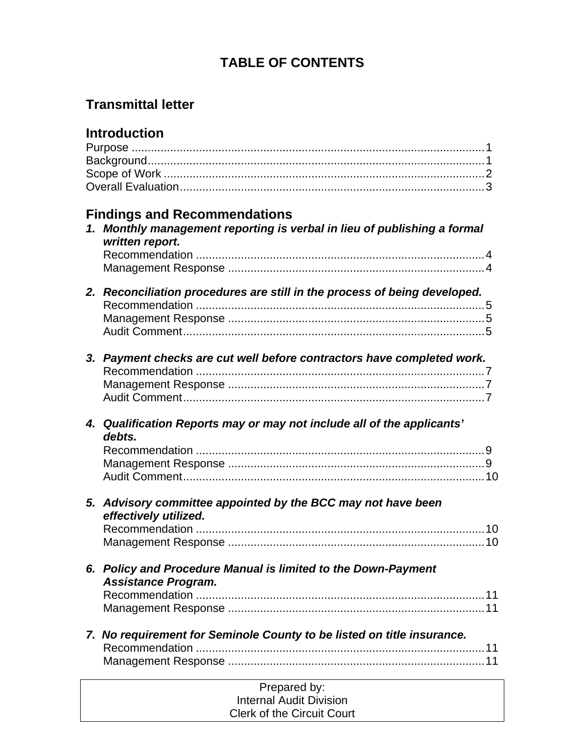# **TABLE OF CONTENTS**

# **Transmittal letter**

# **Introduction**

| <b>Findings and Recommendations</b><br>1. Monthly management reporting is verbal in lieu of publishing a formal<br>written report. |  |
|------------------------------------------------------------------------------------------------------------------------------------|--|
| 2. Reconciliation procedures are still in the process of being developed.                                                          |  |
| 3. Payment checks are cut well before contractors have completed work.                                                             |  |
| 4. Qualification Reports may or may not include all of the applicants'<br>debts.                                                   |  |
| 5. Advisory committee appointed by the BCC may not have been<br>effectively utilized.                                              |  |
| 6. Policy and Procedure Manual is limited to the Down-Payment<br><b>Assistance Program.</b>                                        |  |
| 7. No requirement for Seminole County to be listed on title insurance.                                                             |  |
| Prepared by:<br><b>Internal Audit Division</b>                                                                                     |  |

Clerk of the Circuit Court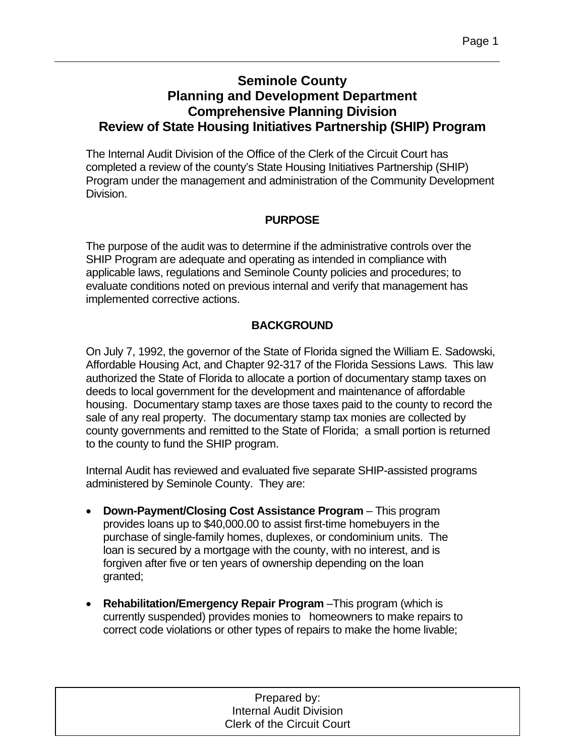# **Seminole County Planning and Development Department Comprehensive Planning Division Review of State Housing Initiatives Partnership (SHIP) Program**

The Internal Audit Division of the Office of the Clerk of the Circuit Court has completed a review of the county's State Housing Initiatives Partnership (SHIP) Program under the management and administration of the Community Development Division.

## **PURPOSE**

The purpose of the audit was to determine if the administrative controls over the SHIP Program are adequate and operating as intended in compliance with applicable laws, regulations and Seminole County policies and procedures; to evaluate conditions noted on previous internal and verify that management has implemented corrective actions.

## **BACKGROUND**

On July 7, 1992, the governor of the State of Florida signed the William E. Sadowski, Affordable Housing Act, and Chapter 92-317 of the Florida Sessions Laws. This law authorized the State of Florida to allocate a portion of documentary stamp taxes on deeds to local government for the development and maintenance of affordable housing. Documentary stamp taxes are those taxes paid to the county to record the sale of any real property. The documentary stamp tax monies are collected by county governments and remitted to the State of Florida; a small portion is returned to the county to fund the SHIP program.

Internal Audit has reviewed and evaluated five separate SHIP-assisted programs administered by Seminole County. They are:

- **Down-Payment/Closing Cost Assistance Program** This program provides loans up to \$40,000.00 to assist first-time homebuyers in the purchase of single-family homes, duplexes, or condominium units. The loan is secured by a mortgage with the county, with no interest, and is forgiven after five or ten years of ownership depending on the loan granted;
- **Rehabilitation/Emergency Repair Program** –This program (which is currently suspended) provides monies to homeowners to make repairs to correct code violations or other types of repairs to make the home livable;

Prepared by: Internal Audit Division Clerk of the Circuit Court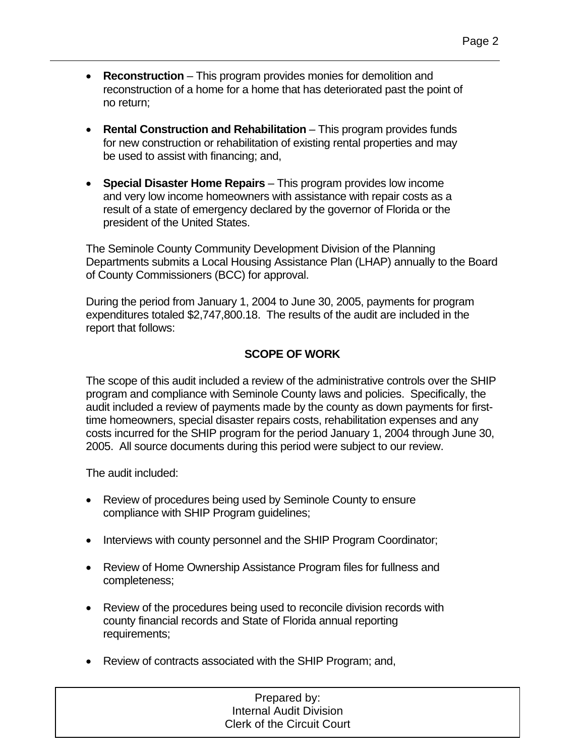- **Reconstruction** This program provides monies for demolition and reconstruction of a home for a home that has deteriorated past the point of no return;
- **Rental Construction and Rehabilitation** This program provides funds for new construction or rehabilitation of existing rental properties and may be used to assist with financing; and,
- **Special Disaster Home Repairs**  This program provides low income and very low income homeowners with assistance with repair costs as a result of a state of emergency declared by the governor of Florida or the president of the United States.

The Seminole County Community Development Division of the Planning Departments submits a Local Housing Assistance Plan (LHAP) annually to the Board of County Commissioners (BCC) for approval.

During the period from January 1, 2004 to June 30, 2005, payments for program expenditures totaled \$2,747,800.18. The results of the audit are included in the report that follows:

## **SCOPE OF WORK**

The scope of this audit included a review of the administrative controls over the SHIP program and compliance with Seminole County laws and policies. Specifically, the audit included a review of payments made by the county as down payments for firsttime homeowners, special disaster repairs costs, rehabilitation expenses and any costs incurred for the SHIP program for the period January 1, 2004 through June 30, 2005. All source documents during this period were subject to our review.

The audit included:

- Review of procedures being used by Seminole County to ensure compliance with SHIP Program guidelines;
- Interviews with county personnel and the SHIP Program Coordinator;
- Review of Home Ownership Assistance Program files for fullness and completeness;
- Review of the procedures being used to reconcile division records with county financial records and State of Florida annual reporting requirements;
- Review of contracts associated with the SHIP Program; and,

#### 1 Prepared by: Internal Audit Division Clerk of the Circuit Court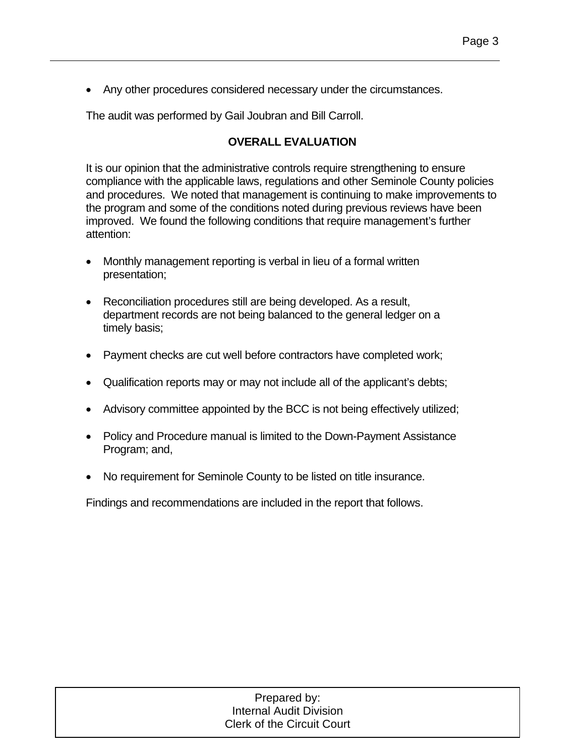• Any other procedures considered necessary under the circumstances.

The audit was performed by Gail Joubran and Bill Carroll.

## **OVERALL EVALUATION**

It is our opinion that the administrative controls require strengthening to ensure compliance with the applicable laws, regulations and other Seminole County policies and procedures. We noted that management is continuing to make improvements to the program and some of the conditions noted during previous reviews have been improved. We found the following conditions that require management's further attention:

- Monthly management reporting is verbal in lieu of a formal written presentation;
- Reconciliation procedures still are being developed. As a result, department records are not being balanced to the general ledger on a timely basis;
- Payment checks are cut well before contractors have completed work;
- Qualification reports may or may not include all of the applicant's debts;
- Advisory committee appointed by the BCC is not being effectively utilized;
- Policy and Procedure manual is limited to the Down-Payment Assistance Program; and,
- No requirement for Seminole County to be listed on title insurance.

Findings and recommendations are included in the report that follows.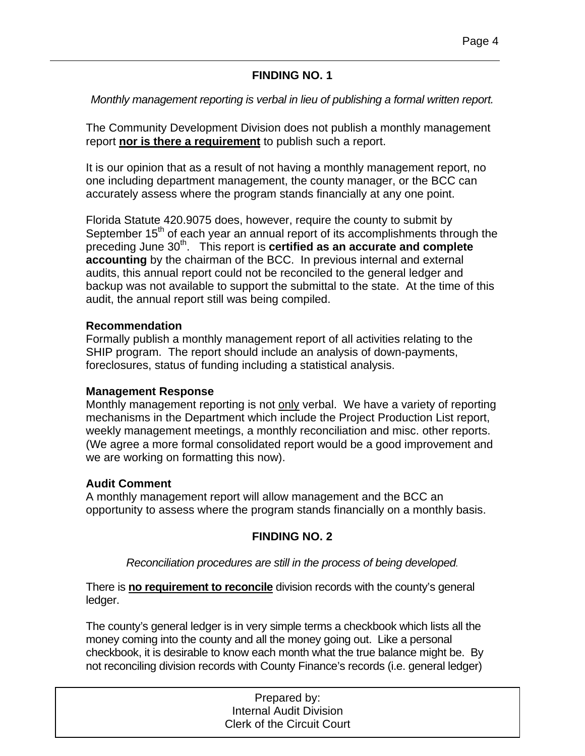## **FINDING NO. 1**

## *Monthly management reporting is verbal in lieu of publishing a formal written report.*

The Community Development Division does not publish a monthly management report **nor is there a requirement** to publish such a report.

It is our opinion that as a result of not having a monthly management report, no one including department management, the county manager, or the BCC can accurately assess where the program stands financially at any one point.

Florida Statute 420.9075 does, however, require the county to submit by September  $15<sup>th</sup>$  of each year an annual report of its accomplishments through the preceding June 30<sup>th</sup>. This report is **certified as an accurate and complete accounting** by the chairman of the BCC. In previous internal and external audits, this annual report could not be reconciled to the general ledger and backup was not available to support the submittal to the state. At the time of this audit, the annual report still was being compiled.

#### **Recommendation**

Formally publish a monthly management report of all activities relating to the SHIP program. The report should include an analysis of down-payments, foreclosures, status of funding including a statistical analysis.

#### **Management Response**

Monthly management reporting is not only verbal. We have a variety of reporting mechanisms in the Department which include the Project Production List report, weekly management meetings, a monthly reconciliation and misc. other reports. (We agree a more formal consolidated report would be a good improvement and we are working on formatting this now).

#### **Audit Comment**

A monthly management report will allow management and the BCC an opportunity to assess where the program stands financially on a monthly basis.

## **FINDING NO. 2**

#### *Reconciliation procedures are still in the process of being developed.*

There is **no requirement to reconcile** division records with the county's general ledger.

The county's general ledger is in very simple terms a checkbook which lists all the money coming into the county and all the money going out. Like a personal checkbook, it is desirable to know each month what the true balance might be. By not reconciling division records with County Finance's records (i.e. general ledger)

| Prepared by:                      |  |
|-----------------------------------|--|
| <b>Internal Audit Division</b>    |  |
| <b>Clerk of the Circuit Court</b> |  |
|                                   |  |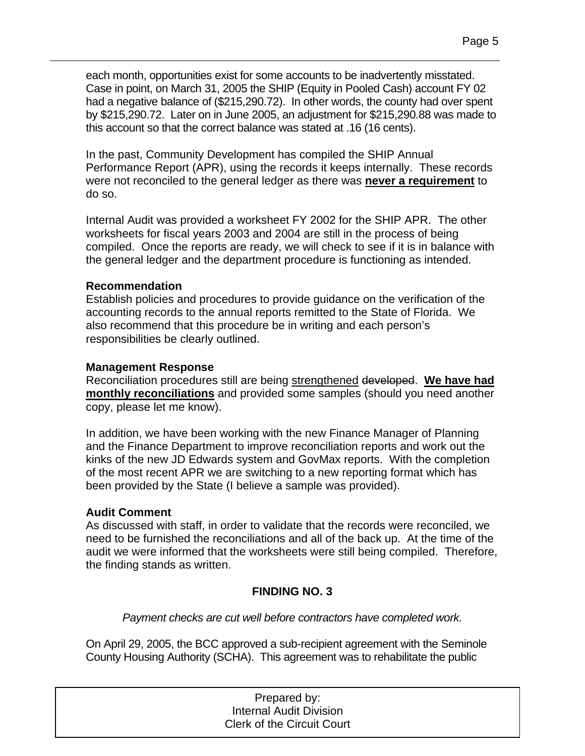each month, opportunities exist for some accounts to be inadvertently misstated. Case in point, on March 31, 2005 the SHIP (Equity in Pooled Cash) account FY 02 had a negative balance of (\$215,290.72). In other words, the county had over spent by \$215,290.72. Later on in June 2005, an adjustment for \$215,290.88 was made to this account so that the correct balance was stated at .16 (16 cents).

In the past, Community Development has compiled the SHIP Annual Performance Report (APR), using the records it keeps internally. These records were not reconciled to the general ledger as there was **never a requirement** to do so.

Internal Audit was provided a worksheet FY 2002 for the SHIP APR. The other worksheets for fiscal years 2003 and 2004 are still in the process of being compiled. Once the reports are ready, we will check to see if it is in balance with the general ledger and the department procedure is functioning as intended.

#### **Recommendation**

Establish policies and procedures to provide guidance on the verification of the accounting records to the annual reports remitted to the State of Florida. We also recommend that this procedure be in writing and each person's responsibilities be clearly outlined.

## **Management Response**

Reconciliation procedures still are being strengthened developed. **We have had monthly reconciliations** and provided some samples (should you need another copy, please let me know).

In addition, we have been working with the new Finance Manager of Planning and the Finance Department to improve reconciliation reports and work out the kinks of the new JD Edwards system and GovMax reports. With the completion of the most recent APR we are switching to a new reporting format which has been provided by the State (I believe a sample was provided).

## **Audit Comment**

As discussed with staff, in order to validate that the records were reconciled, we need to be furnished the reconciliations and all of the back up. At the time of the audit we were informed that the worksheets were still being compiled. Therefore, the finding stands as written.

## **FINDING NO. 3**

*Payment checks are cut well before contractors have completed work.* 

On April 29, 2005, the BCC approved a sub-recipient agreement with the Seminole County Housing Authority (SCHA). This agreement was to rehabilitate the public

| Prepared by:                      |  |
|-----------------------------------|--|
| <b>Internal Audit Division</b>    |  |
| <b>Clerk of the Circuit Court</b> |  |
|                                   |  |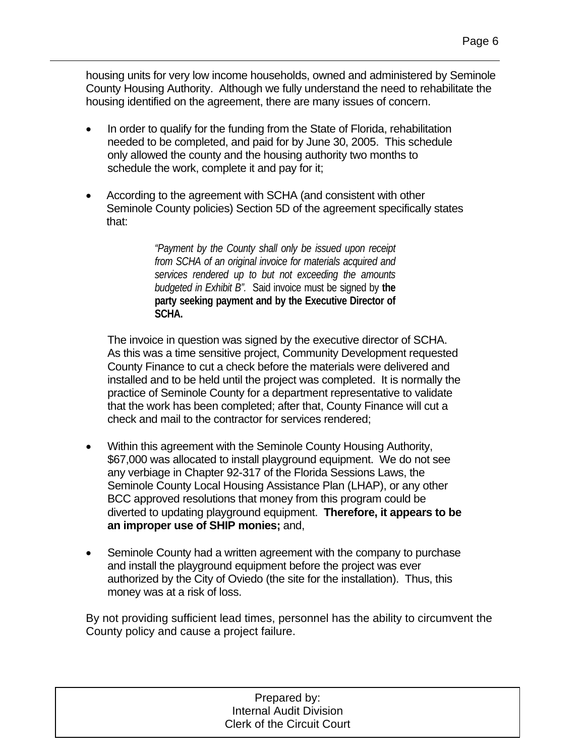housing units for very low income households, owned and administered by Seminole County Housing Authority. Although we fully understand the need to rehabilitate the housing identified on the agreement, there are many issues of concern.

- In order to qualify for the funding from the State of Florida, rehabilitation needed to be completed, and paid for by June 30, 2005. This schedule only allowed the county and the housing authority two months to schedule the work, complete it and pay for it;
- According to the agreement with SCHA (and consistent with other Seminole County policies) Section 5D of the agreement specifically states that:

*"Payment by the County shall only be issued upon receipt from SCHA of an original invoice for materials acquired and services rendered up to but not exceeding the amounts budgeted in Exhibit B".* Said invoice must be signed by **the party seeking payment and by the Executive Director of SCHA.**

The invoice in question was signed by the executive director of SCHA. As this was a time sensitive project, Community Development requested County Finance to cut a check before the materials were delivered and installed and to be held until the project was completed. It is normally the practice of Seminole County for a department representative to validate that the work has been completed; after that, County Finance will cut a check and mail to the contractor for services rendered;

- Within this agreement with the Seminole County Housing Authority, \$67,000 was allocated to install playground equipment. We do not see any verbiage in Chapter 92-317 of the Florida Sessions Laws, the Seminole County Local Housing Assistance Plan (LHAP), or any other BCC approved resolutions that money from this program could be diverted to updating playground equipment. **Therefore, it appears to be an improper use of SHIP monies;** and,
- Seminole County had a written agreement with the company to purchase and install the playground equipment before the project was ever authorized by the City of Oviedo (the site for the installation). Thus, this money was at a risk of loss.

By not providing sufficient lead times, personnel has the ability to circumvent the County policy and cause a project failure.

| Prepared by:                      |  |
|-----------------------------------|--|
| <b>Internal Audit Division</b>    |  |
| <b>Clerk of the Circuit Court</b> |  |
|                                   |  |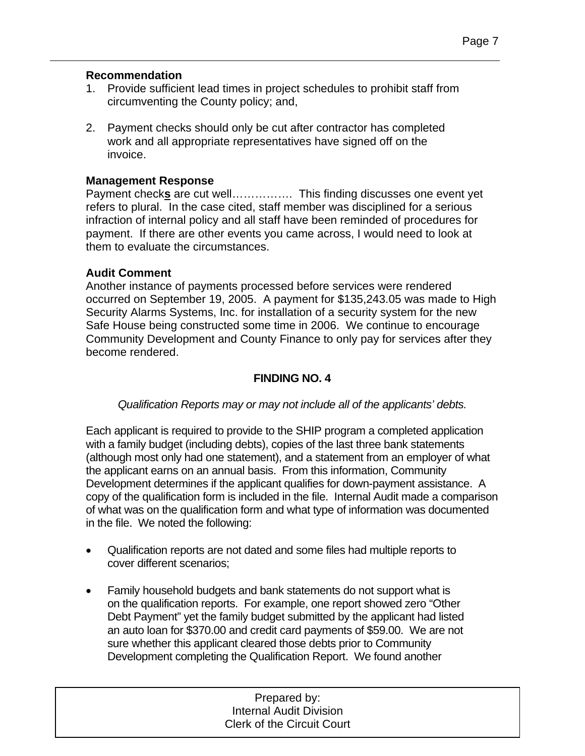#### **Recommendation**

- 1. Provide sufficient lead times in project schedules to prohibit staff from circumventing the County policy; and,
- 2. Payment checks should only be cut after contractor has completed work and all appropriate representatives have signed off on the invoice.

#### **Management Response**

Payment check**s** are cut well……………. This finding discusses one event yet refers to plural. In the case cited, staff member was disciplined for a serious infraction of internal policy and all staff have been reminded of procedures for payment. If there are other events you came across, I would need to look at them to evaluate the circumstances.

#### **Audit Comment**

Another instance of payments processed before services were rendered occurred on September 19, 2005. A payment for \$135,243.05 was made to High Security Alarms Systems, Inc. for installation of a security system for the new Safe House being constructed some time in 2006. We continue to encourage Community Development and County Finance to only pay for services after they become rendered.

### **FINDING NO. 4**

#### *Qualification Reports may or may not include all of the applicants' debts.*

Each applicant is required to provide to the SHIP program a completed application with a family budget (including debts), copies of the last three bank statements (although most only had one statement), and a statement from an employer of what the applicant earns on an annual basis. From this information, Community Development determines if the applicant qualifies for down-payment assistance. A copy of the qualification form is included in the file. Internal Audit made a comparison of what was on the qualification form and what type of information was documented in the file. We noted the following:

- Qualification reports are not dated and some files had multiple reports to cover different scenarios;
- Family household budgets and bank statements do not support what is on the qualification reports. For example, one report showed zero "Other Debt Payment" yet the family budget submitted by the applicant had listed an auto loan for \$370.00 and credit card payments of \$59.00. We are not sure whether this applicant cleared those debts prior to Community Development completing the Qualification Report. We found another

1 Prepared by: Internal Audit Division Clerk of the Circuit Court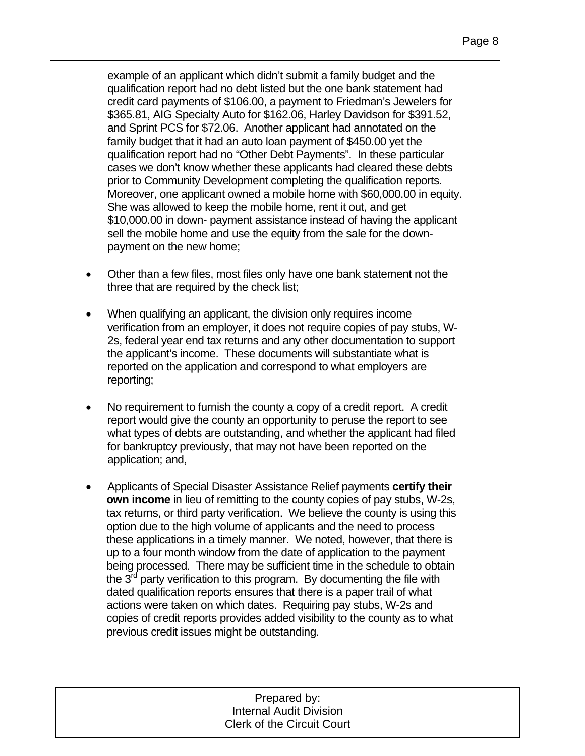example of an applicant which didn't submit a family budget and the qualification report had no debt listed but the one bank statement had credit card payments of \$106.00, a payment to Friedman's Jewelers for \$365.81, AIG Specialty Auto for \$162.06, Harley Davidson for \$391.52, and Sprint PCS for \$72.06. Another applicant had annotated on the family budget that it had an auto loan payment of \$450.00 yet the qualification report had no "Other Debt Payments". In these particular cases we don't know whether these applicants had cleared these debts prior to Community Development completing the qualification reports. Moreover, one applicant owned a mobile home with \$60,000.00 in equity. She was allowed to keep the mobile home, rent it out, and get \$10,000.00 in down- payment assistance instead of having the applicant sell the mobile home and use the equity from the sale for the downpayment on the new home;

- Other than a few files, most files only have one bank statement not the three that are required by the check list;
- When qualifying an applicant, the division only requires income verification from an employer, it does not require copies of pay stubs, W-2s, federal year end tax returns and any other documentation to support the applicant's income. These documents will substantiate what is reported on the application and correspond to what employers are reporting;
- No requirement to furnish the county a copy of a credit report. A credit report would give the county an opportunity to peruse the report to see what types of debts are outstanding, and whether the applicant had filed for bankruptcy previously, that may not have been reported on the application; and,
- Applicants of Special Disaster Assistance Relief payments **certify their own income** in lieu of remitting to the county copies of pay stubs, W-2s, tax returns, or third party verification. We believe the county is using this option due to the high volume of applicants and the need to process these applications in a timely manner. We noted, however, that there is up to a four month window from the date of application to the payment being processed. There may be sufficient time in the schedule to obtain the  $3<sup>rd</sup>$  party verification to this program. By documenting the file with dated qualification reports ensures that there is a paper trail of what actions were taken on which dates. Requiring pay stubs, W-2s and copies of credit reports provides added visibility to the county as to what previous credit issues might be outstanding.

Prepared by: Internal Audit Division Clerk of the Circuit Court

1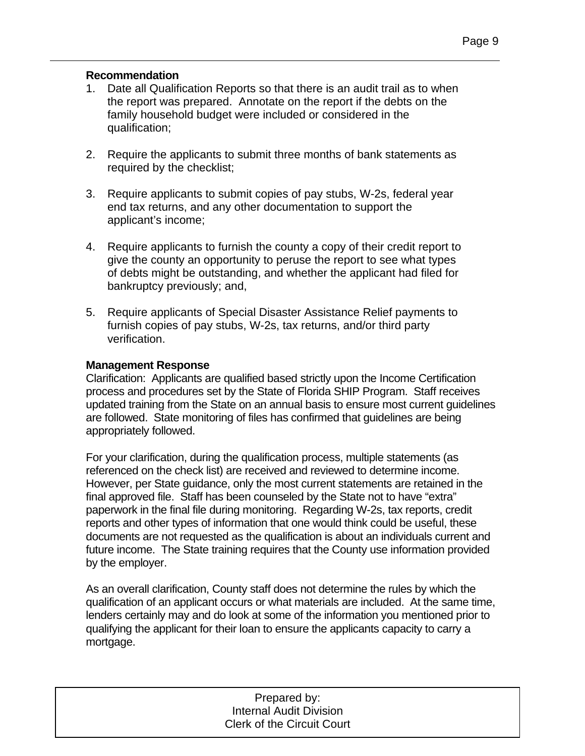#### **Recommendation**

- 1. Date all Qualification Reports so that there is an audit trail as to when the report was prepared. Annotate on the report if the debts on the family household budget were included or considered in the qualification;
- 2. Require the applicants to submit three months of bank statements as required by the checklist;
- 3. Require applicants to submit copies of pay stubs, W-2s, federal year end tax returns, and any other documentation to support the applicant's income;
- 4. Require applicants to furnish the county a copy of their credit report to give the county an opportunity to peruse the report to see what types of debts might be outstanding, and whether the applicant had filed for bankruptcy previously; and,
- 5. Require applicants of Special Disaster Assistance Relief payments to furnish copies of pay stubs, W-2s, tax returns, and/or third party verification.

#### **Management Response**

Clarification: Applicants are qualified based strictly upon the Income Certification process and procedures set by the State of Florida SHIP Program. Staff receives updated training from the State on an annual basis to ensure most current guidelines are followed. State monitoring of files has confirmed that guidelines are being appropriately followed.

For your clarification, during the qualification process, multiple statements (as referenced on the check list) are received and reviewed to determine income. However, per State guidance, only the most current statements are retained in the final approved file. Staff has been counseled by the State not to have "extra" paperwork in the final file during monitoring. Regarding W-2s, tax reports, credit reports and other types of information that one would think could be useful, these documents are not requested as the qualification is about an individuals current and future income. The State training requires that the County use information provided by the employer.

As an overall clarification, County staff does not determine the rules by which the qualification of an applicant occurs or what materials are included. At the same time, lenders certainly may and do look at some of the information you mentioned prior to qualifying the applicant for their loan to ensure the applicants capacity to carry a mortgage.

| Prepared by:                      |  |
|-----------------------------------|--|
| Internal Audit Division           |  |
| <b>Clerk of the Circuit Court</b> |  |
|                                   |  |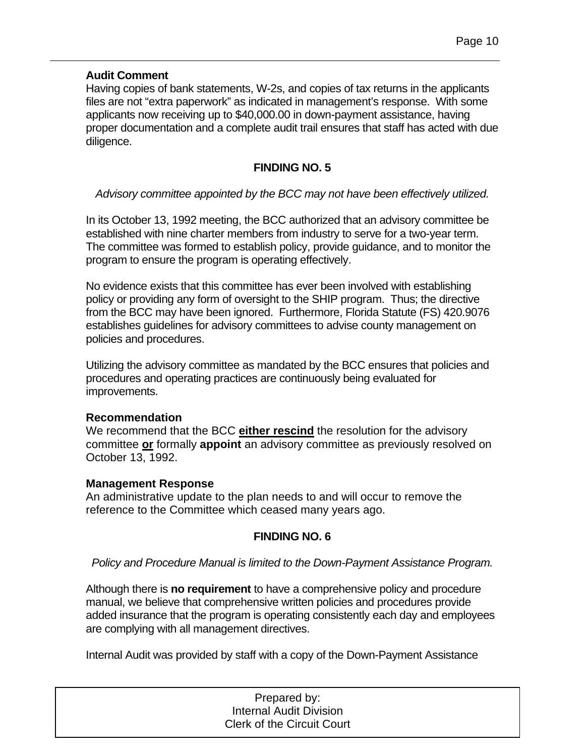#### **Audit Comment**

Having copies of bank statements, W-2s, and copies of tax returns in the applicants files are not "extra paperwork" as indicated in management's response. With some applicants now receiving up to \$40,000.00 in down-payment assistance, having proper documentation and a complete audit trail ensures that staff has acted with due diligence.

#### **FINDING NO. 5**

#### *Advisory committee appointed by the BCC may not have been effectively utilized.*

In its October 13, 1992 meeting, the BCC authorized that an advisory committee be established with nine charter members from industry to serve for a two-year term. The committee was formed to establish policy, provide guidance, and to monitor the program to ensure the program is operating effectively.

No evidence exists that this committee has ever been involved with establishing policy or providing any form of oversight to the SHIP program. Thus; the directive from the BCC may have been ignored. Furthermore, Florida Statute (FS) 420.9076 establishes guidelines for advisory committees to advise county management on policies and procedures.

Utilizing the advisory committee as mandated by the BCC ensures that policies and procedures and operating practices are continuously being evaluated for improvements.

#### **Recommendation**

We recommend that the BCC **either rescind** the resolution for the advisory committee **or** formally **appoint** an advisory committee as previously resolved on October 13, 1992.

#### **Management Response**

An administrative update to the plan needs to and will occur to remove the reference to the Committee which ceased many years ago.

#### **FINDING NO. 6**

#### *Policy and Procedure Manual is limited to the Down-Payment Assistance Program.*

Although there is **no requirement** to have a comprehensive policy and procedure manual, we believe that comprehensive written policies and procedures provide added insurance that the program is operating consistently each day and employees are complying with all management directives.

Internal Audit was provided by staff with a copy of the Down-Payment Assistance

| Prepared by:                      |
|-----------------------------------|
| <b>Internal Audit Division</b>    |
| <b>Clerk of the Circuit Court</b> |